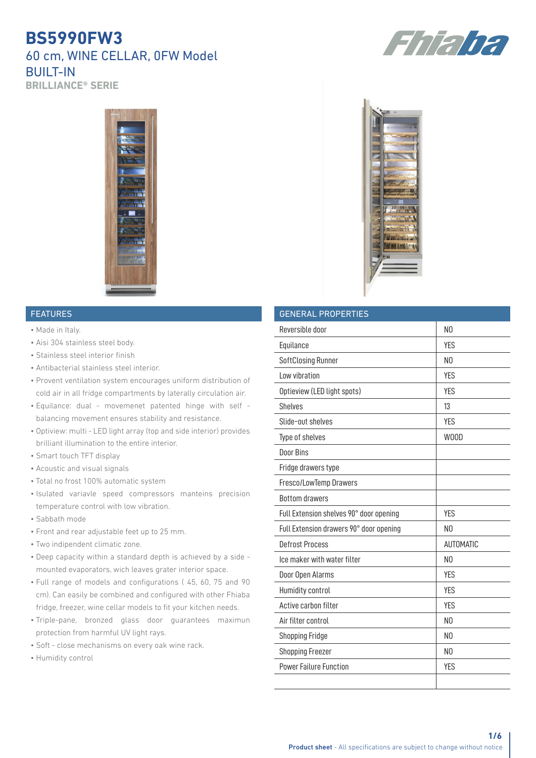## **BS5990FW3** 60 cm, WINE CELLAR, 0FW Model BUILT-IN **BRILLIANCE® SERIE**



#### FEATURES

- Made in Italy.
- Aisi 304 stainless steel body.
- Stainless steel interior finish
- Antibacterial stainless steel interior.
- Provent ventilation system encourages uniform distribution of cold air in all fridge compartments by laterally circulation air.
- Equilance: dual movemenet patented hinge with self balancing movement ensures stability and resistance.
- Optiview: multi LED light array (top and side interior) provides brilliant illumination to the entire interior.
- Smart touch TFT display
- Acoustic and visual signals
- Total no frost 100% automatic system
- Isulated variavle speed compressors manteins precision temperature control with low vibration.
- Sabbath mode
- Front and rear adjustable feet up to 25 mm.
- Two indipendent climatic zone.
- Deep capacity within a standard depth is achieved by a side mounted evaporators, wich leaves grater interior space.
- Full range of models and configurations ( 45, 60, 75 and 90 cm). Can easily be combined and configured with other Fhiaba fridge, freezer, wine cellar models to fit your kitchen needs.
- Triple-pane, bronzed glass door guarantees maximun protection from harmful UV light rays.
- Soft close mechanisms on every oak wine rack.
- Humidity control



| <b>GENERAL PROPERTIES</b>               |                |  |
|-----------------------------------------|----------------|--|
| Reversible door                         | N <sub>0</sub> |  |
| Equilance                               | <b>YES</b>     |  |
| SoftClosing Runner                      | N <sub>0</sub> |  |
| Low vibration                           | <b>YES</b>     |  |
| Optieview (LED light spots)             | <b>YES</b>     |  |
| <b>Shelves</b>                          | 13             |  |
| Slide-out shelves                       | <b>YES</b>     |  |
| Type of shelves                         | W00D           |  |
| Door Bins                               |                |  |
| Fridge drawers type                     |                |  |
| Fresco/LowTemp Drawers                  |                |  |
| <b>Bottom drawers</b>                   |                |  |
| Full Extension shelves 90° door opening | <b>YES</b>     |  |
| Full Extension drawers 90° door opening | N <sub>0</sub> |  |
| <b>Defrost Process</b>                  | AUTOMATIC      |  |
| Ice maker with water filter             | N <sub>0</sub> |  |
| Door Open Alarms                        | <b>YES</b>     |  |
| Humidity control                        | <b>YES</b>     |  |
| Active carbon filter                    | <b>YES</b>     |  |
| Air filter control                      | N <sub>0</sub> |  |
| <b>Shopping Fridge</b>                  | N <sub>0</sub> |  |
| <b>Shopping Freezer</b>                 | N <sub>0</sub> |  |
| <b>Power Failure Function</b>           | <b>YES</b>     |  |
|                                         |                |  |

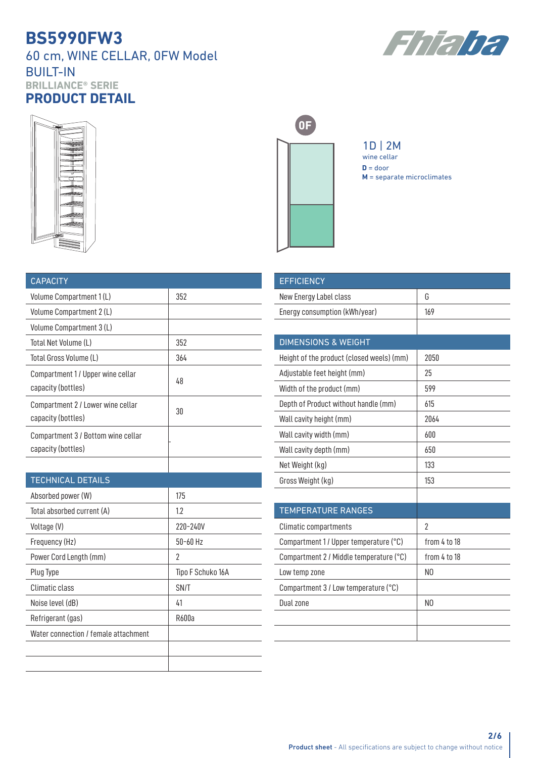60 cm, WINE CELLAR, 0FW Model BUILT-IN **BRILLIANCE® SERIE PRODUCT DETAIL**







1D | 2M **D** = door **M** = separate microclimates wine cellar

| <b>CAPACITY</b>                                          |     |
|----------------------------------------------------------|-----|
| Volume Compartment 1(L)                                  | 352 |
| Volume Compartment 2 (L)                                 |     |
| Volume Compartment 3 (L)                                 |     |
| Total Net Volume (L)                                     | 352 |
| Total Gross Volume (L)                                   | 364 |
| Compartment 1/Upper wine cellar<br>capacity (bottles)    | 48  |
| Compartment 2 / Lower wine cellar<br>capacity (bottles)  | 30  |
| Compartment 3 / Bottom wine cellar<br>capacity (bottles) |     |
|                                                          |     |

| <b>TECHNICAL DETAILS</b>             |                   |  |
|--------------------------------------|-------------------|--|
| Absorbed power (W)                   | 175               |  |
| Total absorbed current (A)           | 1.2               |  |
| Voltage (V)                          | 220-240V          |  |
| Frequency (Hz)                       | $50 - 60$ Hz      |  |
| Power Cord Length (mm)               | 2                 |  |
| Plug Type                            | Tipo F Schuko 16A |  |
| Climatic class                       | SN/T              |  |
| Noise level (dB)                     | 41                |  |
| Refrigerant (gas)                    | R600a             |  |
| Water connection / female attachment |                   |  |
|                                      |                   |  |
|                                      |                   |  |

| <b>EFFICIENCY</b>                         |                |
|-------------------------------------------|----------------|
| New Energy Label class                    | G              |
| Energy consumption (kWh/year)             | 169            |
|                                           |                |
| <b>DIMENSIONS &amp; WEIGHT</b>            |                |
| Height of the product (closed weels) (mm) | 2050           |
| Adjustable feet height (mm)               | 25             |
| Width of the product (mm)                 | 599            |
| Depth of Product without handle (mm)      | 615            |
| Wall cavity height (mm)                   | 2064           |
| Wall cavity width (mm)                    | 600            |
| Wall cavity depth (mm)                    | 650            |
| Net Weight (kg)                           | 133            |
| Gross Weight (kg)                         | 153            |
|                                           |                |
| <b>TEMPERATURE RANGES</b>                 |                |
| <b>Climatic compartments</b>              | 2              |
| Compartment 1/ Upper temperature (°C)     | from 4 to 18   |
| Compartment 2 / Middle temperature (°C)   | from 4 to 18   |
| Low temp zone                             | N <sub>0</sub> |
| Compartment 3 / Low temperature (°C)      |                |
| Dual zone                                 | N <sub>0</sub> |
|                                           |                |
|                                           |                |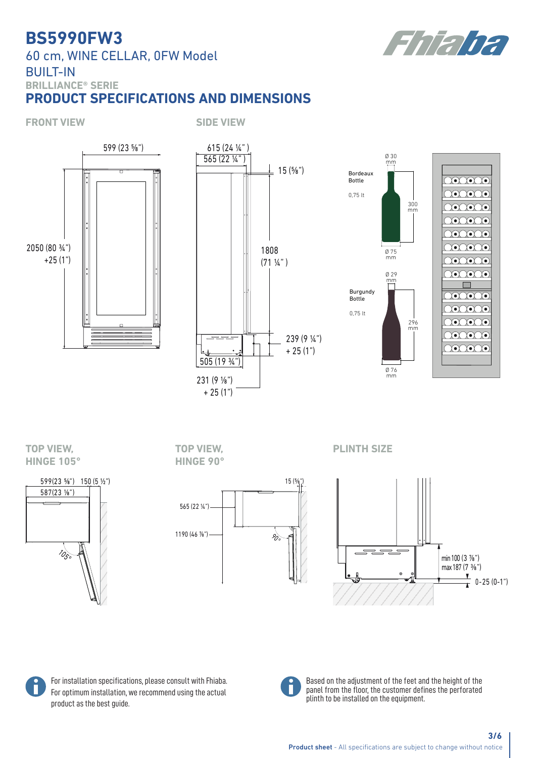60 cm, WINE CELLAR, 0FW Model BUILT-IN **BRILLIANCE® SERIE**

## **PRODUCT SPECIFICATIONS AND DIMENSIONS**









# **HINGE 105°**



**TOP VIEW, HINGE 90°**



**TOP VIEW, PLINTH SIZE**







Based on the adjustment of the feet and the height of the panel from the floor, the customer defines the perforated plinth to be installed on the equipment.

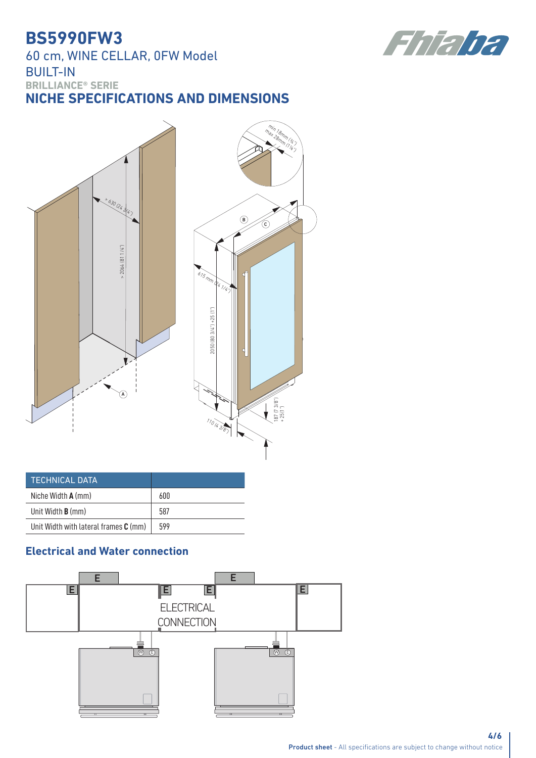60 cm, WINE CELLAR, 0FW Model BUILT-IN **BRILLIANCE® SERIE**

**NICHE SPECIFICATIONS AND DIMENSIONS**



| <b>TECHNICAL DATA</b>                   |     |
|-----------------------------------------|-----|
| Niche Width $A$ (mm)                    | 600 |
| Unit Width <b>B</b> (mm)                | 587 |
| Unit Width with lateral frames $C$ (mm) | 599 |

## **Electrical and Water connection**



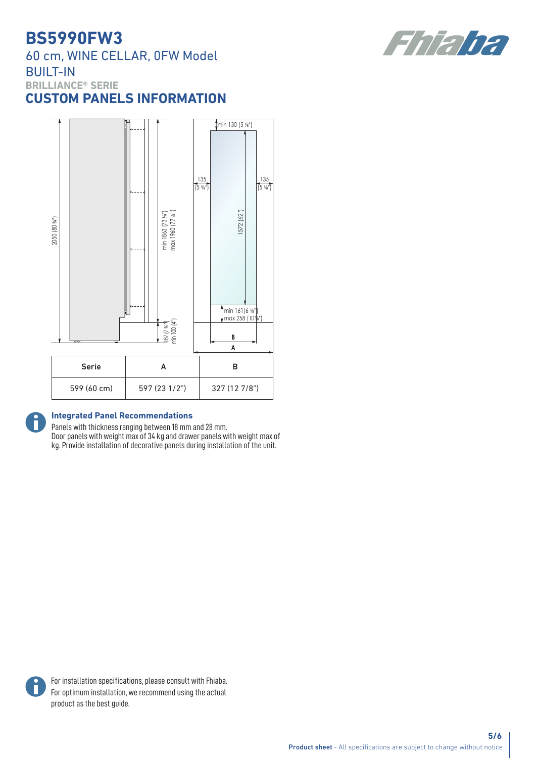60 cm, WINE CELLAR, 0FW Model BUILT-IN **BRILLIANCE® SERIE CUSTOM PANELS INFORMATION**



#### **Integrated Panel Recommendations**

Panels with thickness ranging between 18 mm and 28 mm. Door panels with weight max of 34 kg and drawer panels with weight max of kg. Provide installation of decorative panels during installation of the unit.



6

For installation specifications, please consult with Fhiaba. For optimum installation, we recommend using the actual product as the best guide.